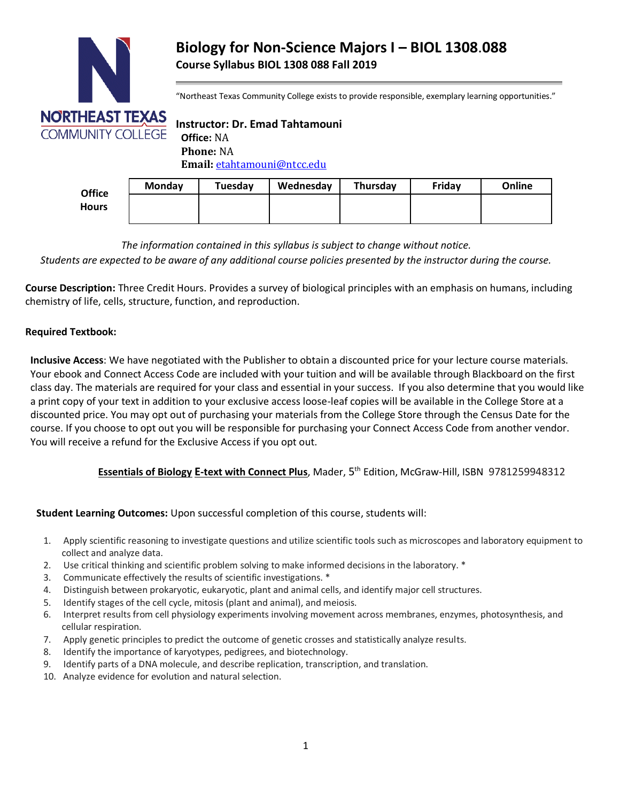

# **Biology for Non-Science Majors I – BIOL 1308**.**088 Course Syllabus BIOL 1308 088 Fall 2019**

"Northeast Texas Community College exists to provide responsible, exemplary learning opportunities."

**Instructor: Dr. Emad Tahtamouni Phone:** NA **Email:** [etahtamouni@ntcc.edu](mailto:etahtamouni@ntcc.edu)

| <b>Office</b><br><b>Hours</b> | <b>Monday</b> | Tuesday | Wednesday | Thursday | Fridav | Online |
|-------------------------------|---------------|---------|-----------|----------|--------|--------|
|                               |               |         |           |          |        |        |
|                               |               |         |           |          |        |        |

*The information contained in this syllabus is subject to change without notice.*

*Students are expected to be aware of any additional course policies presented by the instructor during the course.*

**Course Description:** Three Credit Hours. Provides a survey of biological principles with an emphasis on humans, including chemistry of life, cells, structure, function, and reproduction.

#### **Required Textbook:**

**Inclusive Access**: We have negotiated with the Publisher to obtain a discounted price for your lecture course materials. Your ebook and Connect Access Code are included with your tuition and will be available through Blackboard on the first class day. The materials are required for your class and essential in your success. If you also determine that you would like a print copy of your text in addition to your exclusive access loose-leaf copies will be available in the College Store at a discounted price. You may opt out of purchasing your materials from the College Store through the Census Date for the course. If you choose to opt out you will be responsible for purchasing your Connect Access Code from another vendor. You will receive a refund for the Exclusive Access if you opt out.

## **Essentials of Biology E-text with Connect Plus**, Mader, 5 th Edition, McGraw-Hill, ISBN 9781259948312

#### **Student Learning Outcomes:** Upon successful completion of this course, students will:

- 1. Apply scientific reasoning to investigate questions and utilize scientific tools such as microscopes and laboratory equipment to collect and analyze data.
- 2. Use critical thinking and scientific problem solving to make informed decisions in the laboratory. \*
- 3. Communicate effectively the results of scientific investigations. \*
- 4. Distinguish between prokaryotic, eukaryotic, plant and animal cells, and identify major cell structures.
- 5. Identify stages of the cell cycle, mitosis (plant and animal), and meiosis.
- 6. Interpret results from cell physiology experiments involving movement across membranes, enzymes, photosynthesis, and cellular respiration.
- 7. Apply genetic principles to predict the outcome of genetic crosses and statistically analyze results.
- 8. Identify the importance of karyotypes, pedigrees, and biotechnology.
- 9. Identify parts of a DNA molecule, and describe replication, transcription, and translation.
- 10. Analyze evidence for evolution and natural selection.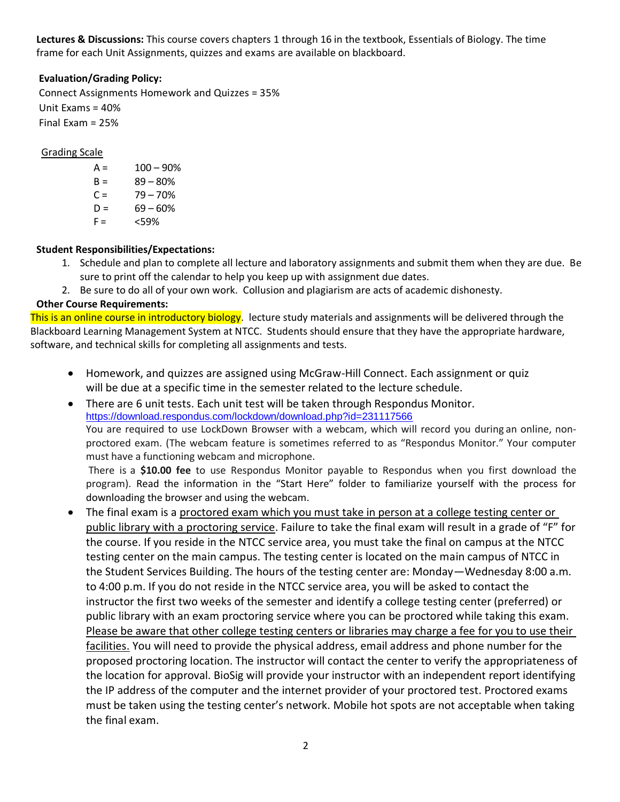**Lectures & Discussions:** This course covers chapters 1 through 16 in the textbook, Essentials of Biology. The time frame for each Unit Assignments, quizzes and exams are available on blackboard.

## **Evaluation/Grading Policy:**

Connect Assignments Homework and Quizzes = 35% Unit Exams = 40% Final Exam = 25%

Grading Scale

 $A = 100 - 90%$  $B = 89 - 80%$  $C = 79 - 70%$  $D = 69 - 60%$  $F = \frac{59\%}{100}$ 

## **Student Responsibilities/Expectations:**

- 1. Schedule and plan to complete all lecture and laboratory assignments and submit them when they are due. Be sure to print off the calendar to help you keep up with assignment due dates.
- 2. Be sure to do all of your own work. Collusion and plagiarism are acts of academic dishonesty.

## **Other Course Requirements:**

This is an online course in introductory biology. lecture study materials and assignments will be delivered through the Blackboard Learning Management System at NTCC. Students should ensure that they have the appropriate hardware, software, and technical skills for completing all assignments and tests.

- Homework, and quizzes are assigned using McGraw-Hill Connect. Each assignment or quiz will be due at a specific time in the semester related to the lecture schedule.
- There are 6 unit tests. Each unit test will be taken through Respondus Monitor. <https://download.respondus.com/lockdown/download.php?id=231117566> You are required to use LockDown Browser with a webcam, which will record you during an online, nonproctored exam. (The webcam feature is sometimes referred to as "Respondus Monitor." Your computer must have a functioning webcam and microphone.

There is a **\$10.00 fee** to use Respondus Monitor payable to Respondus when you first download the program). Read the information in the "Start Here" folder to familiarize yourself with the process for downloading the browser and using the webcam.

• The final exam is a proctored exam which you must take in person at a college testing center or public library with a proctoring service. Failure to take the final exam will result in a grade of "F" for the course. If you reside in the NTCC service area, you must take the final on campus at the NTCC testing center on the main campus. The testing center is located on the main campus of NTCC in the Student Services Building. The hours of the testing center are: Monday—Wednesday 8:00 a.m. to 4:00 p.m. If you do not reside in the NTCC service area, you will be asked to contact the instructor the first two weeks of the semester and identify a college testing center (preferred) or public library with an exam proctoring service where you can be proctored while taking this exam. Please be aware that other college testing centers or libraries may charge a fee for you to use their facilities. You will need to provide the physical address, email address and phone number for the proposed proctoring location. The instructor will contact the center to verify the appropriateness of the location for approval. BioSig will provide your instructor with an independent report identifying the IP address of the computer and the internet provider of your proctored test. Proctored exams must be taken using the testing center's network. Mobile hot spots are not acceptable when taking the final exam.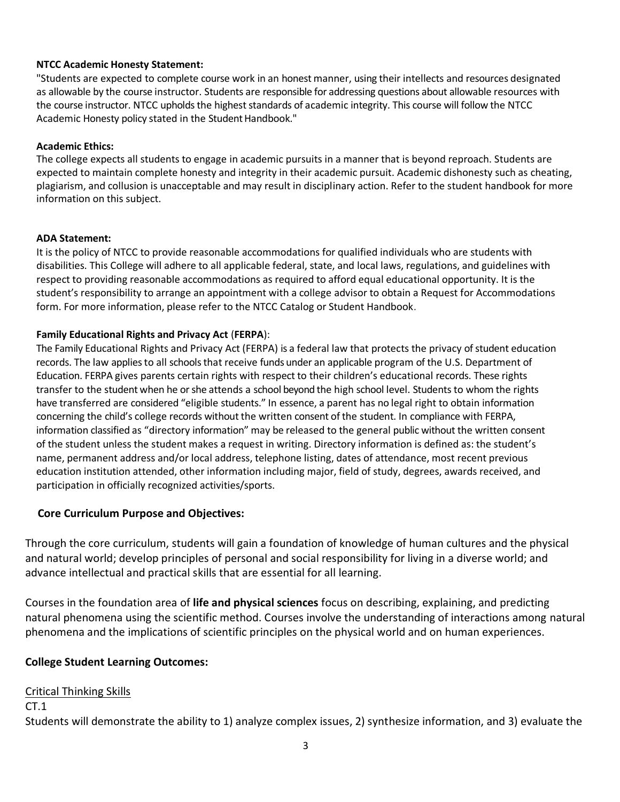## **NTCC Academic Honesty Statement:**

"Students are expected to complete course work in an honest manner, using their intellects and resources designated as allowable by the course instructor. Students are responsible for addressing questions about allowable resources with the course instructor. NTCC upholds the highest standards of academic integrity. This course will follow the NTCC Academic Honesty policy stated in the Student Handbook."

#### **Academic Ethics:**

The college expects all students to engage in academic pursuits in a manner that is beyond reproach. Students are expected to maintain complete honesty and integrity in their academic pursuit. Academic dishonesty such as cheating, plagiarism, and collusion is unacceptable and may result in disciplinary action. Refer to the student handbook for more information on this subject.

#### **ADA Statement:**

It is the policy of NTCC to provide reasonable accommodations for qualified individuals who are students with disabilities. This College will adhere to all applicable federal, state, and local laws, regulations, and guidelines with respect to providing reasonable accommodations as required to afford equal educational opportunity. It is the student's responsibility to arrange an appointment with a college advisor to obtain a Request for Accommodations form. For more information, please refer to the NTCC Catalog or Student Handbook.

#### **Family Educational Rights and Privacy Act** (**FERPA**):

The Family Educational Rights and Privacy Act (FERPA) is a federal law that protects the privacy of student education records. The law applies to all schools that receive funds under an applicable program of the U.S. Department of Education. FERPA gives parents certain rights with respect to their children's educational records. These rights transfer to the student when he or she attends a school beyond the high school level. Students to whom the rights have transferred are considered "eligible students." In essence, a parent has no legal right to obtain information concerning the child's college records without the written consent of the student. In compliance with FERPA, information classified as "directory information" may be released to the general public without the written consent of the student unless the student makes a request in writing. Directory information is defined as: the student's name, permanent address and/or local address, telephone listing, dates of attendance, most recent previous education institution attended, other information including major, field of study, degrees, awards received, and participation in officially recognized activities/sports.

## **Core Curriculum Purpose and Objectives:**

Through the core curriculum, students will gain a foundation of knowledge of human cultures and the physical and natural world; develop principles of personal and social responsibility for living in a diverse world; and advance intellectual and practical skills that are essential for all learning.

Courses in the foundation area of **life and physical sciences** focus on describing, explaining, and predicting natural phenomena using the scientific method. Courses involve the understanding of interactions among natural phenomena and the implications of scientific principles on the physical world and on human experiences.

## **College Student Learning Outcomes:**

## Critical Thinking Skills

#### $CT.1$

Students will demonstrate the ability to 1) analyze complex issues, 2) synthesize information, and 3) evaluate the